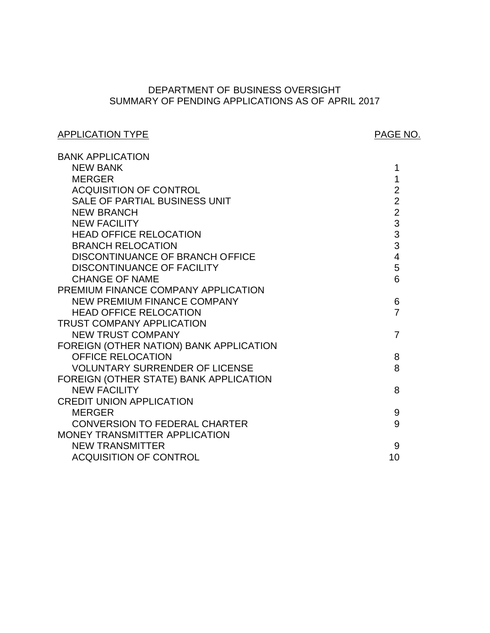# SUMMARY OF PENDING APPLICATIONS AS OF APRIL 2017 DEPARTMENT OF BUSINESS OVERSIGHT

# APPLICATION TYPE APPLICATION TYPE

| <b>BANK APPLICATION</b>                 |                         |
|-----------------------------------------|-------------------------|
| <b>NEW BANK</b>                         | 1                       |
| <b>MERGER</b>                           | 1                       |
| <b>ACQUISITION OF CONTROL</b>           | $\overline{2}$          |
| <b>SALE OF PARTIAL BUSINESS UNIT</b>    | $\overline{2}$          |
| <b>NEW BRANCH</b>                       | $\overline{2}$          |
| <b>NEW FACILITY</b>                     | $\overline{3}$          |
| <b>HEAD OFFICE RELOCATION</b>           | $\frac{3}{3}$           |
| <b>BRANCH RELOCATION</b>                |                         |
| DISCONTINUANCE OF BRANCH OFFICE         | $\overline{\mathbf{4}}$ |
| <b>DISCONTINUANCE OF FACILITY</b>       | 5                       |
| <b>CHANGE OF NAME</b>                   | 6                       |
| PREMIUM FINANCE COMPANY APPLICATION     |                         |
| <b>NEW PREMIUM FINANCE COMPANY</b>      | 6                       |
| <b>HEAD OFFICE RELOCATION</b>           | $\overline{7}$          |
| <b>TRUST COMPANY APPLICATION</b>        |                         |
| <b>NEW TRUST COMPANY</b>                | $\overline{7}$          |
| FOREIGN (OTHER NATION) BANK APPLICATION |                         |
| <b>OFFICE RELOCATION</b>                | 8                       |
| <b>VOLUNTARY SURRENDER OF LICENSE</b>   | 8                       |
| FOREIGN (OTHER STATE) BANK APPLICATION  |                         |
| <b>NEW FACILITY</b>                     | 8                       |
| <b>CREDIT UNION APPLICATION</b>         |                         |
| <b>MERGER</b>                           | 9                       |
| <b>CONVERSION TO FEDERAL CHARTER</b>    | 9                       |
| MONEY TRANSMITTER APPLICATION           |                         |
| <b>NEW TRANSMITTER</b>                  | 9                       |
| <b>ACQUISITION OF CONTROL</b>           | 10                      |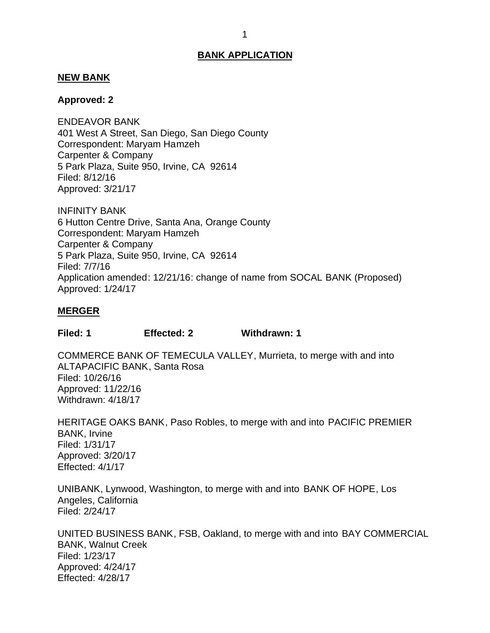### <span id="page-1-0"></span>**NEW BANK**

### **Approved: 2**

 401 West A Street, San Diego, San Diego County Correspondent: Maryam Hamzeh Carpenter & Company 5 Park Plaza, Suite 950, Irvine, CA 92614 ENDEAVOR BANK Filed: 8/12/16 Approved: 3/21/17

 6 Hutton Centre Drive, Santa Ana, Orange County Correspondent: Maryam Hamzeh Carpenter & Company 5 Park Plaza, Suite 950, Irvine, CA 92614 INFINITY BANK Filed: 7/7/16 Application amended: 12/21/16: change of name from SOCAL BANK (Proposed) Approved: 1/24/17

### **MERGER**

**Filed: 1 Effected: 2 Withdrawn: 1** 

 COMMERCE BANK OF TEMECULA VALLEY, Murrieta, to merge with and into ALTAPACIFIC BANK, Santa Rosa Filed: 10/26/16 Approved: 11/22/16 Withdrawn: 4/18/17

 HERITAGE OAKS BANK, Paso Robles, to merge with and into PACIFIC PREMIER BANK, Irvine Filed: 1/31/17 Approved: 3/20/17 Effected: 4/1/17

 UNIBANK, Lynwood, Washington, to merge with and into BANK OF HOPE, Los Angeles, California Filed: 2/24/17

 UNITED BUSINESS BANK, FSB, Oakland, to merge with and into BAY COMMERCIAL BANK, Walnut Creek Filed: 1/23/17 Approved: 4/24/17 Effected: 4/28/17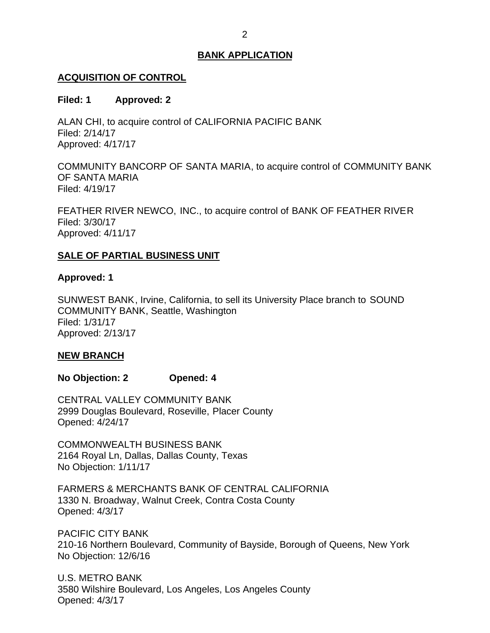# <span id="page-2-0"></span>**ACQUISITION OF CONTROL**

### **Filed: 1 Approved: 2**

 ALAN CHI, to acquire control of CALIFORNIA PACIFIC BANK Filed: 2/14/17 Approved: 4/17/17

 COMMUNITY BANCORP OF SANTA MARIA, to acquire control of COMMUNITY BANK OF SANTA MARIA Filed: 4/19/17

 FEATHER RIVER NEWCO, INC., to acquire control of BANK OF FEATHER RIVER Filed: 3/30/17 Approved: 4/11/17

## **SALE OF PARTIAL BUSINESS UNIT**

### **Approved: 1**

 SUNWEST BANK, Irvine, California, to sell its University Place branch to SOUND COMMUNITY BANK, Seattle, Washington Filed: 1/31/17 Approved: 2/13/17

### **NEW BRANCH**

**No Objection: 2 Opened: 4** 

 CENTRAL VALLEY COMMUNITY BANK 2999 Douglas Boulevard, Roseville, Placer County Opened: 4/24/17

 2164 Royal Ln, Dallas, Dallas County, Texas No Objection: 1/11/17 COMMONWEALTH BUSINESS BANK

 FARMERS & MERCHANTS BANK OF CENTRAL CALIFORNIA 1330 N. Broadway, Walnut Creek, Contra Costa County Opened: 4/3/17

 210-16 Northern Boulevard, Community of Bayside, Borough of Queens, New York No Objection: 12/6/16 PACIFIC CITY BANK

 U.S. METRO BANK 3580 Wilshire Boulevard, Los Angeles, Los Angeles County Opened: 4/3/17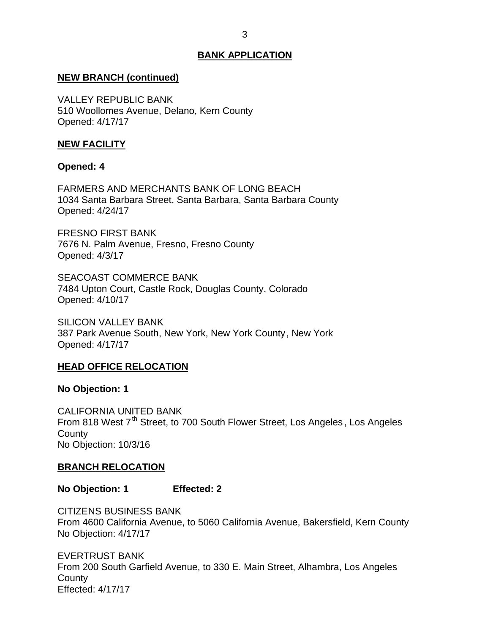### <span id="page-3-0"></span>**NEW BRANCH (continued)**

 510 Woollomes Avenue, Delano, Kern County VALLEY REPUBLIC BANK Opened: 4/17/17

### **NEW FACILITY**

### **Opened: 4**

 FARMERS AND MERCHANTS BANK OF LONG BEACH 1034 Santa Barbara Street, Santa Barbara, Santa Barbara County Opened: 4/24/17

 FRESNO FIRST BANK 7676 N. Palm Avenue, Fresno, Fresno County Opened: 4/3/17

 7484 Upton Court, Castle Rock, Douglas County, Colorado SEACOAST COMMERCE BANK Opened: 4/10/17

 387 Park Avenue South, New York, New York County, New York SILICON VALLEY BANK Opened: 4/17/17

### **HEAD OFFICE RELOCATION**

#### **No Objection: 1**

From 818 West 7<sup>th</sup> Street, to 700 South Flower Street, Los Angeles, Los Angeles No Objection: 10/3/16 CALIFORNIA UNITED BANK **County** 

### **BRANCH RELOCATION**

**No Objection: 1 Effected: 2** 

 From 4600 California Avenue, to 5060 California Avenue, Bakersfield, Kern County No Objection: 4/17/17 CITIZENS BUSINESS BANK

 From 200 South Garfield Avenue, to 330 E. Main Street, Alhambra, Los Angeles EVERTRUST BANK **County** Effected: 4/17/17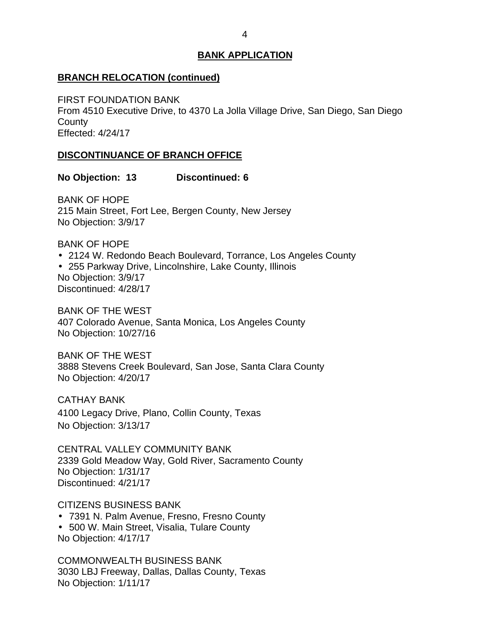### <span id="page-4-0"></span>**BRANCH RELOCATION (continued)**

 From 4510 Executive Drive, to 4370 La Jolla Village Drive, San Diego, San Diego FIRST FOUNDATION BANK **County** Effected: 4/24/17

### **DISCONTINUANCE OF BRANCH OFFICE**

**No Objection: 13 Discontinued: 6** 

 215 Main Street, Fort Lee, Bergen County, New Jersey No Objection: 3/9/17 BANK OF HOPE

BANK OF HOPE

 2124 W. Redondo Beach Boulevard, Torrance, Los Angeles County 255 Parkway Drive, Lincolnshire, Lake County, Illinois No Objection: 3/9/17 Discontinued: 4/28/17

 BANK OF THE WEST 407 Colorado Avenue, Santa Monica, Los Angeles County No Objection: 10/27/16

 BANK OF THE WEST 3888 Stevens Creek Boulevard, San Jose, Santa Clara County No Objection: 4/20/17

 4100 Legacy Drive, Plano, Collin County, Texas No Objection: 3/13/17 CATHAY BANK

 CENTRAL VALLEY COMMUNITY BANK 2339 Gold Meadow Way, Gold River, Sacramento County No Objection: 1/31/17 Discontinued: 4/21/17

CITIZENS BUSINESS BANK

7391 N. Palm Avenue, Fresno, Fresno County

 500 W. Main Street, Visalia, Tulare County No Objection: 4/17/17

 3030 LBJ Freeway, Dallas, Dallas County, Texas No Objection: 1/11/17 COMMONWEALTH BUSINESS BANK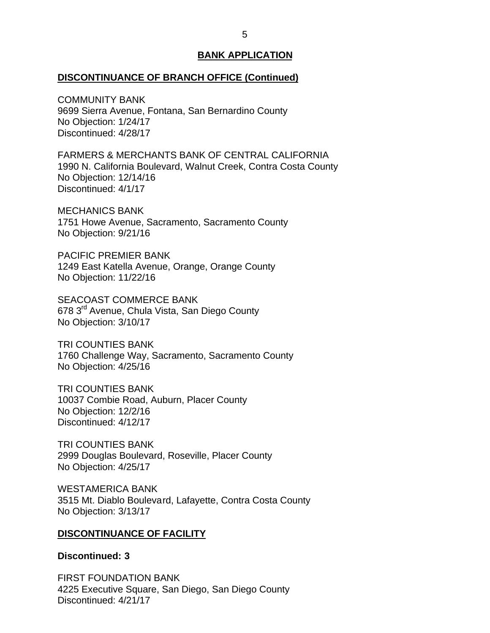#### <span id="page-5-0"></span>**DISCONTINUANCE OF BRANCH OFFICE (Continued)**

 9699 Sierra Avenue, Fontana, San Bernardino County No Objection: 1/24/17 COMMUNITY BANK Discontinued: 4/28/17

 FARMERS & MERCHANTS BANK OF CENTRAL CALIFORNIA 1990 N. California Boulevard, Walnut Creek, Contra Costa County No Objection: 12/14/16 Discontinued: 4/1/17

 1751 Howe Avenue, Sacramento, Sacramento County No Objection: 9/21/16 MECHANICS BANK

 PACIFIC PREMIER BANK 1249 East Katella Avenue, Orange, Orange County No Objection: 11/22/16

678 3<sup>rd</sup> Avenue, Chula Vista, San Diego County No Objection: 3/10/17 SEACOAST COMMERCE BANK

 1760 Challenge Way, Sacramento, Sacramento County No Objection: 4/25/16 TRI COUNTIES BANK

 10037 Combie Road, Auburn, Placer County No Objection: 12/2/16 TRI COUNTIES BANK Discontinued: 4/12/17

 2999 Douglas Boulevard, Roseville, Placer County No Objection: 4/25/17 TRI COUNTIES BANK

 3515 Mt. Diablo Boulevard, Lafayette, Contra Costa County No Objection: 3/13/17 WESTAMERICA BANK

#### **DISCONTINUANCE OF FACILITY**

### **Discontinued: 3**

 4225 Executive Square, San Diego, San Diego County FIRST FOUNDATION BANK Discontinued: 4/21/17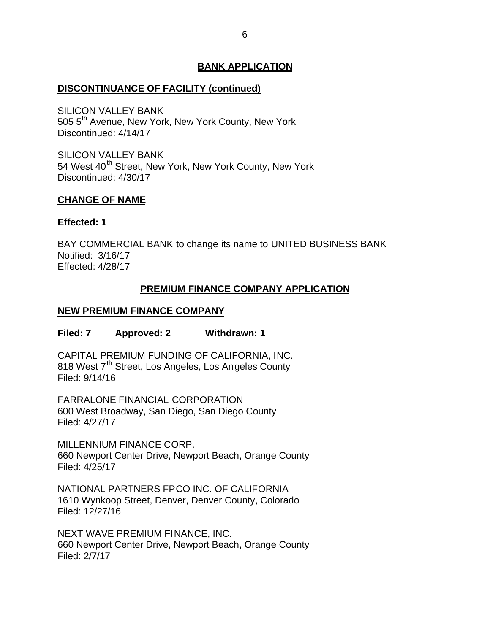# <span id="page-6-0"></span>**DISCONTINUANCE OF FACILITY (continued)**

505 5<sup>th</sup> Avenue, New York, New York County, New York SILICON VALLEY BANK Discontinued: 4/14/17

54 West 40<sup>th</sup> Street, New York, New York County, New York SILICON VALLEY BANK Discontinued: 4/30/17

### **CHANGE OF NAME**

### **Effected: 1**

 Notified: 3/16/17 BAY COMMERCIAL BANK to change its name to UNITED BUSINESS BANK Effected: 4/28/17

# **PREMIUM FINANCE COMPANY APPLICATION**

# **NEW PREMIUM FINANCE COMPANY**

### **Filed: 7 Approved: 2 Withdrawn: 1**

 CAPITAL PREMIUM FUNDING OF CALIFORNIA, INC. 818 West 7<sup>th</sup> Street, Los Angeles, Los Angeles County Filed: 9/14/16

 600 West Broadway, San Diego, San Diego County FARRALONE FINANCIAL CORPORATION Filed: 4/27/17

 MILLENNIUM FINANCE CORP. 660 Newport Center Drive, Newport Beach, Orange County Filed: 4/25/17

 NATIONAL PARTNERS FPCO INC. OF CALIFORNIA 1610 Wynkoop Street, Denver, Denver County, Colorado Filed: 12/27/16

 NEXT WAVE PREMIUM FINANCE, INC. 660 Newport Center Drive, Newport Beach, Orange County Filed: 2/7/17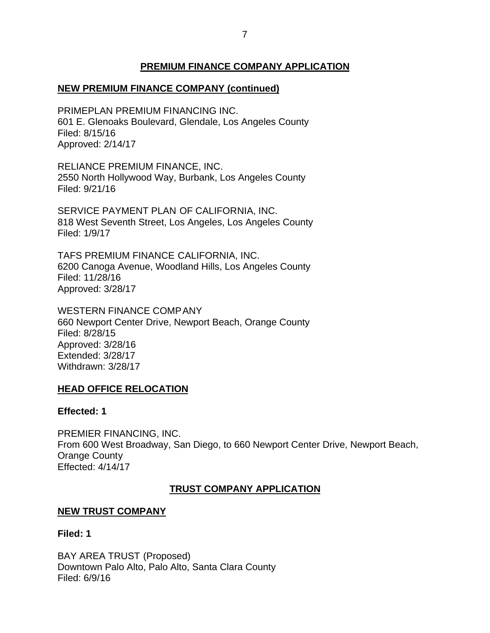# **PREMIUM FINANCE COMPANY APPLICATION**

# <span id="page-7-0"></span> **NEW PREMIUM FINANCE COMPANY (continued)**

 601 E. Glenoaks Boulevard, Glendale, Los Angeles County PRIMEPLAN PREMIUM FINANCING INC. Filed: 8/15/16 Approved: 2/14/17

 RELIANCE PREMIUM FINANCE, INC. 2550 North Hollywood Way, Burbank, Los Angeles County Filed: 9/21/16

 SERVICE PAYMENT PLAN OF CALIFORNIA, INC. 818 West Seventh Street, Los Angeles, Los Angeles County Filed: 1/9/17

 TAFS PREMIUM FINANCE CALIFORNIA, INC. 6200 Canoga Avenue, Woodland Hills, Los Angeles County Filed: 11/28/16 Approved: 3/28/17

 660 Newport Center Drive, Newport Beach, Orange County WESTERN FINANCE COMPANY Filed: 8/28/15 Approved: 3/28/16 Extended: 3/28/17 Withdrawn: 3/28/17

### **HEAD OFFICE RELOCATION**

### **Effected: 1**

 From 600 West Broadway, San Diego, to 660 Newport Center Drive, Newport Beach, PREMIER FINANCING, INC. Orange County Effected: 4/14/17

### **TRUST COMPANY APPLICATION**

### **NEW TRUST COMPANY**

### **Filed: 1**

 BAY AREA TRUST (Proposed) Downtown Palo Alto, Palo Alto, Santa Clara County Filed: 6/9/16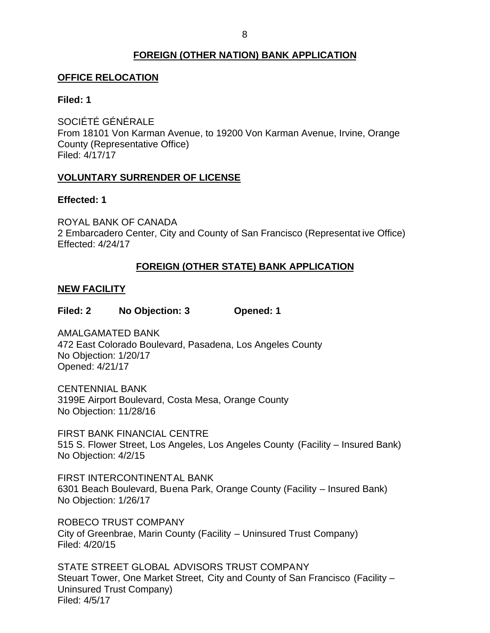# **FOREIGN (OTHER NATION) BANK APPLICATION**

# <span id="page-8-0"></span>**OFFICE RELOCATION**

### **Filed: 1**

 From 18101 Von Karman Avenue, to 19200 Von Karman Avenue, Irvine, Orange SOCIÉTÉ GÉNÉRALE County (Representative Office) Filed: 4/17/17

## **VOLUNTARY SURRENDER OF LICENSE**

### **Effected: 1**

 ROYAL BANK OF CANADA 2 Embarcadero Center, City and County of San Francisco (Representat ive Office) Effected: 4/24/17

# **FOREIGN (OTHER STATE) BANK APPLICATION**

### **NEW FACILITY**

**Filed: 2 No Objection: 3 Opened: 1** 

 472 East Colorado Boulevard, Pasadena, Los Angeles County No Objection: 1/20/17 AMALGAMATED BANK Opened: 4/21/17

 3199E Airport Boulevard, Costa Mesa, Orange County No Objection: 11/28/16 CENTENNIAL BANK

 FIRST BANK FINANCIAL CENTRE 515 S. Flower Street, Los Angeles, Los Angeles County (Facility – Insured Bank) No Objection: 4/2/15

 6301 Beach Boulevard, Buena Park, Orange County (Facility – Insured Bank) No Objection: 1/26/17 FIRST INTERCONTINENTAL BANK

 ROBECO TRUST COMPANY City of Greenbrae, Marin County (Facility – Uninsured Trust Company) Filed: 4/20/15

 STATE STREET GLOBAL ADVISORS TRUST COMPANY Steuart Tower, One Market Street, City and County of San Francisco (Facility – Uninsured Trust Company) Filed: 4/5/17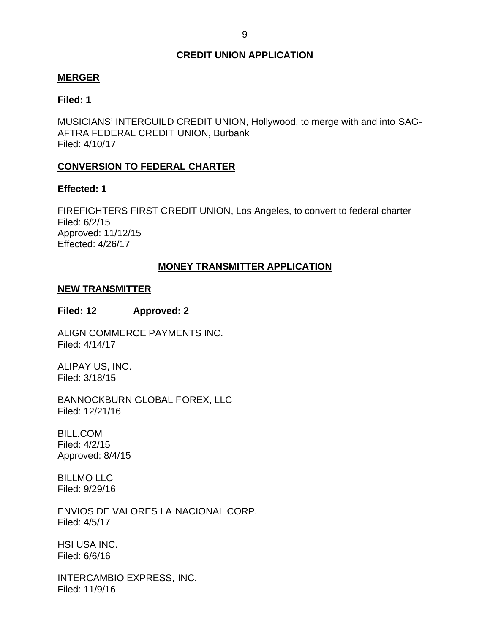# **CREDIT UNION APPLICATION**

### <span id="page-9-0"></span>**MERGER**

### **Filed: 1**

 MUSICIANS' INTERGUILD CREDIT UNION, Hollywood, to merge with and into SAG- AFTRA FEDERAL CREDIT UNION, Burbank Filed: 4/10/17

## **CONVERSION TO FEDERAL CHARTER**

### **Effected: 1**

 FIREFIGHTERS FIRST CREDIT UNION, Los Angeles, to convert to federal charter Filed: 6/2/15 Approved: 11/12/15 Effected: 4/26/17

### **MONEY TRANSMITTER APPLICATION**

### **NEW TRANSMITTER**

### **Filed: 12 Approved: 2**

ALIGN COMMERCE PAYMENTS INC. Filed: 4/14/17

 ALIPAY US, INC. Filed: 3/18/15

BANNOCKBURN GLOBAL FOREX, LLC Filed: 12/21/16

BILL.COM Filed: 4/2/15 Approved: 8/4/15

BILLMO LLC Filed: 9/29/16

 ENVIOS DE VALORES LA NACIONAL CORP. Filed: 4/5/17

HSI USA INC. Filed: 6/6/16

INTERCAMBIO EXPRESS, INC. Filed: 11/9/16